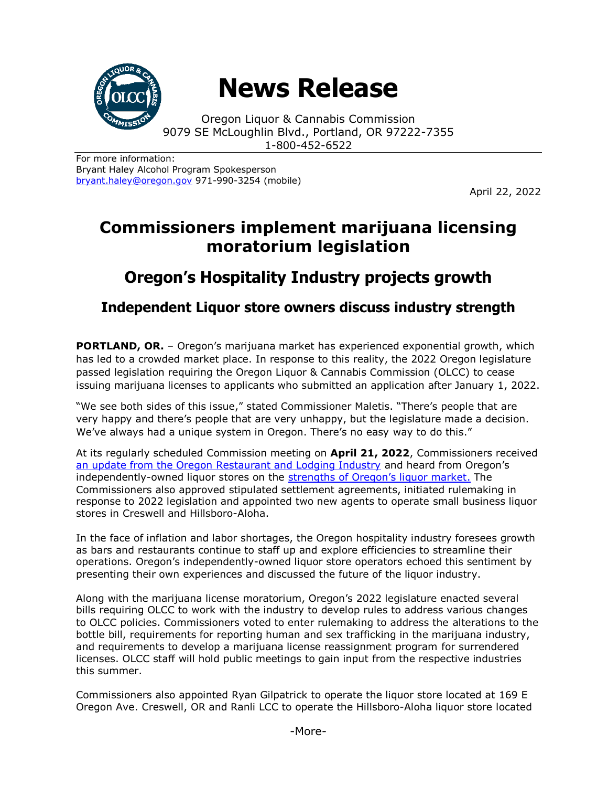

# **News Release**

Oregon Liquor & Cannabis Commission 9079 SE McLoughlin Blvd., Portland, OR 97222-7355 1-800-452-6522

For more information: Bryant Haley Alcohol Program Spokesperson [bryant.haley@oregon.gov](file:///C:/Users/mark.pettinger/AppData/Local/Microsoft/Windows/INetCache/Content.Outlook/ZTRJ5L75/bryant.haley@oregon.gov) 971-990-3254 (mobile)

April 22, 2022

## **Commissioners implement marijuana licensing moratorium legislation**

## **Oregon's Hospitality Industry projects growth**

**Independent Liquor store owners discuss industry strength**

**PORTLAND, OR.** – Oregon's marijuana market has experienced exponential growth, which has led to a crowded market place. In response to this reality, the 2022 Oregon legislature passed legislation requiring the Oregon Liquor & Cannabis Commission (OLCC) to cease issuing marijuana licenses to applicants who submitted an application after January 1, 2022.

"We see both sides of this issue," stated Commissioner Maletis. "There's people that are very happy and there's people that are very unhappy, but the legislature made a decision. We've always had a unique system in Oregon. There's no easy way to do this."

At its regularly scheduled Commission meeting on **April 21, 2022**, Commissioners received [an update from the Oregon Restaurant and Lodging Industry](https://www.oregon.gov/olcc/Docs/commission_minutes/2022/ORLA-Presentation-April2022.pdf) and heard from Oregon's independently-owned liquor stores on the strengths [of Oregon's liquor market](https://www.oregon.gov/olcc/Docs/commission_minutes/2022/ALSO-Presentation-April2022.pdf). The Commissioners also approved stipulated settlement agreements, initiated rulemaking in response to 2022 legislation and appointed two new agents to operate small business liquor stores in Creswell and Hillsboro-Aloha.

In the face of inflation and labor shortages, the Oregon hospitality industry foresees growth as bars and restaurants continue to staff up and explore efficiencies to streamline their operations. Oregon's independently-owned liquor store operators echoed this sentiment by presenting their own experiences and discussed the future of the liquor industry.

Along with the marijuana license moratorium, Oregon's 2022 legislature enacted several bills requiring OLCC to work with the industry to develop rules to address various changes to OLCC policies. Commissioners voted to enter rulemaking to address the alterations to the bottle bill, requirements for reporting human and sex trafficking in the marijuana industry, and requirements to develop a marijuana license reassignment program for surrendered licenses. OLCC staff will hold public meetings to gain input from the respective industries this summer.

Commissioners also appointed Ryan Gilpatrick to operate the liquor store located at 169 E Oregon Ave. Creswell, OR and Ranli LCC to operate the Hillsboro-Aloha liquor store located